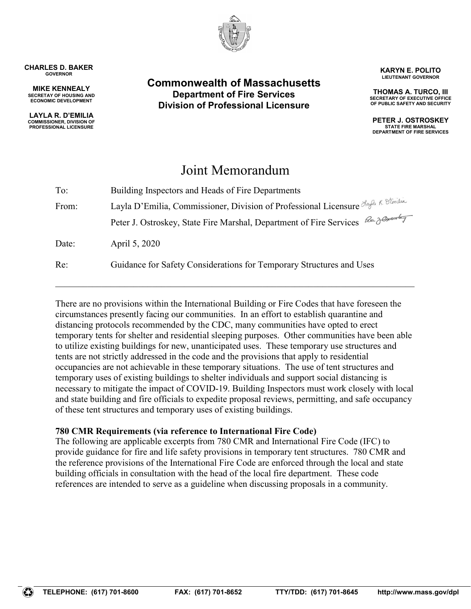

#### CHARLES D. BAKER GOVERNOR

MIKE KENNEALY SECRETAY OF HOUSING AND ECONOMIC DEVELOPMENT

LAYLA R. D'EMILIA COMMISSIONER, DIVISION OF PROFESSIONAL LICENSURE

# Commonwealth of Massachusetts Department of Fire Services Division of Professional Licensure

KARYN E. POLITO LIEUTENANT GOVERNOR

THOMAS A. TURCO, III SECRETARY OF EXECUTIVE OFFICE OF PUBLIC SAFETY AND SECURITY

PETER J. OSTROSKEY STATE FIRE MARSHAL DEPARTMENT OF FIRE SERVICES

# Joint Memorandum

| To:   | Building Inspectors and Heads of Fire Departments                                  |  |
|-------|------------------------------------------------------------------------------------|--|
| From: | Layla D'Emilia, Commissioner, Division of Professional Licensure Layla R. D'Emilia |  |
|       | Peter J. Ostroskey, State Fire Marshal, Department of Fire Services Ba Jerusaly    |  |
| Date: | April 5, 2020                                                                      |  |
| Re:   | Guidance for Safety Considerations for Temporary Structures and Uses               |  |

There are no provisions within the International Building or Fire Codes that have foreseen the circumstances presently facing our communities. In an effort to establish quarantine and distancing protocols recommended by the CDC, many communities have opted to erect temporary tents for shelter and residential sleeping purposes. Other communities have been able to utilize existing buildings for new, unanticipated uses. These temporary use structures and tents are not strictly addressed in the code and the provisions that apply to residential occupancies are not achievable in these temporary situations. The use of tent structures and temporary uses of existing buildings to shelter individuals and support social distancing is necessary to mitigate the impact of COVID-19. Building Inspectors must work closely with local and state building and fire officials to expedite proposal reviews, permitting, and safe occupancy of these tent structures and temporary uses of existing buildings.

# 780 CMR Requirements (via reference to International Fire Code)

The following are applicable excerpts from 780 CMR and International Fire Code (IFC) to provide guidance for fire and life safety provisions in temporary tent structures. 780 CMR and the reference provisions of the International Fire Code are enforced through the local and state building officials in consultation with the head of the local fire department. These code references are intended to serve as a guideline when discussing proposals in a community.

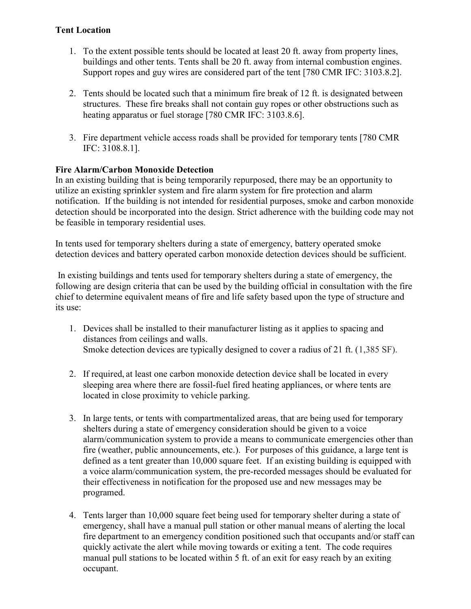# Tent Location

- 1. To the extent possible tents should be located at least 20 ft. away from property lines, buildings and other tents. Tents shall be 20 ft. away from internal combustion engines. Support ropes and guy wires are considered part of the tent [780 CMR IFC: 3103.8.2].
- 2. Tents should be located such that a minimum fire break of 12 ft. is designated between structures. These fire breaks shall not contain guy ropes or other obstructions such as heating apparatus or fuel storage [780 CMR IFC: 3103.8.6].
- 3. Fire department vehicle access roads shall be provided for temporary tents [780 CMR IFC: 3108.8.1].

# Fire Alarm/Carbon Monoxide Detection

In an existing building that is being temporarily repurposed, there may be an opportunity to utilize an existing sprinkler system and fire alarm system for fire protection and alarm notification. If the building is not intended for residential purposes, smoke and carbon monoxide detection should be incorporated into the design. Strict adherence with the building code may not be feasible in temporary residential uses.

In tents used for temporary shelters during a state of emergency, battery operated smoke detection devices and battery operated carbon monoxide detection devices should be sufficient.

 In existing buildings and tents used for temporary shelters during a state of emergency, the following are design criteria that can be used by the building official in consultation with the fire chief to determine equivalent means of fire and life safety based upon the type of structure and its use:

- 1. Devices shall be installed to their manufacturer listing as it applies to spacing and distances from ceilings and walls. Smoke detection devices are typically designed to cover a radius of 21 ft. (1,385 SF).
- 2. If required, at least one carbon monoxide detection device shall be located in every sleeping area where there are fossil-fuel fired heating appliances, or where tents are located in close proximity to vehicle parking.
- 3. In large tents, or tents with compartmentalized areas, that are being used for temporary shelters during a state of emergency consideration should be given to a voice alarm/communication system to provide a means to communicate emergencies other than fire (weather, public announcements, etc.). For purposes of this guidance, a large tent is defined as a tent greater than 10,000 square feet. If an existing building is equipped with a voice alarm/communication system, the pre-recorded messages should be evaluated for their effectiveness in notification for the proposed use and new messages may be programed.
- 4. Tents larger than 10,000 square feet being used for temporary shelter during a state of emergency, shall have a manual pull station or other manual means of alerting the local fire department to an emergency condition positioned such that occupants and/or staff can quickly activate the alert while moving towards or exiting a tent. The code requires manual pull stations to be located within 5 ft. of an exit for easy reach by an exiting occupant.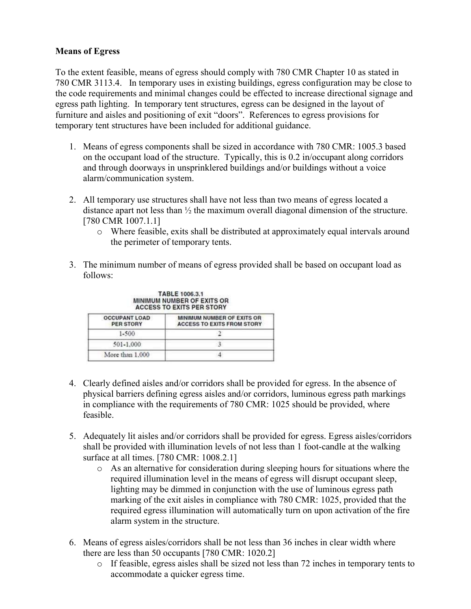#### Means of Egress

To the extent feasible, means of egress should comply with 780 CMR Chapter 10 as stated in 780 CMR 3113.4. In temporary uses in existing buildings, egress configuration may be close to the code requirements and minimal changes could be effected to increase directional signage and egress path lighting. In temporary tent structures, egress can be designed in the layout of furniture and aisles and positioning of exit "doors". References to egress provisions for temporary tent structures have been included for additional guidance.

- 1. Means of egress components shall be sized in accordance with 780 CMR: 1005.3 based on the occupant load of the structure. Typically, this is 0.2 in/occupant along corridors and through doorways in unsprinklered buildings and/or buildings without a voice alarm/communication system.
- 2. All temporary use structures shall have not less than two means of egress located a distance apart not less than ½ the maximum overall diagonal dimension of the structure. [780 CMR 1007.1.1]
	- o Where feasible, exits shall be distributed at approximately equal intervals around the perimeter of temporary tents.
- 3. The minimum number of means of egress provided shall be based on occupant load as follows:

| <b>OCCUPANT LOAD</b><br><b>PER STORY</b> | MINIMUM NUMBER OF EXITS OR<br><b>ACCESS TO EXITS FROM STORY</b> |
|------------------------------------------|-----------------------------------------------------------------|
| $1 - 500$                                |                                                                 |
| 501-1.000                                |                                                                 |
| More than 1,000                          |                                                                 |

TABLE 1006.3.1 MINIMUM NUMBER OF EXITS OR

- 4. Clearly defined aisles and/or corridors shall be provided for egress. In the absence of physical barriers defining egress aisles and/or corridors, luminous egress path markings in compliance with the requirements of 780 CMR: 1025 should be provided, where feasible.
- 5. Adequately lit aisles and/or corridors shall be provided for egress. Egress aisles/corridors shall be provided with illumination levels of not less than 1 foot-candle at the walking surface at all times. [780 CMR: 1008.2.1]
	- o As an alternative for consideration during sleeping hours for situations where the required illumination level in the means of egress will disrupt occupant sleep, lighting may be dimmed in conjunction with the use of luminous egress path marking of the exit aisles in compliance with 780 CMR: 1025, provided that the required egress illumination will automatically turn on upon activation of the fire alarm system in the structure.
- 6. Means of egress aisles/corridors shall be not less than 36 inches in clear width where there are less than 50 occupants [780 CMR: 1020.2]
	- o If feasible, egress aisles shall be sized not less than 72 inches in temporary tents to accommodate a quicker egress time.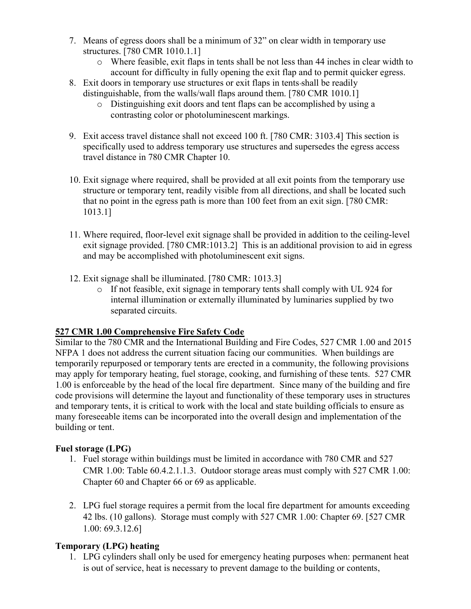- 7. Means of egress doors shall be a minimum of 32" on clear width in temporary use structures. [780 CMR 1010.1.1]
	- o Where feasible, exit flaps in tents shall be not less than 44 inches in clear width to account for difficulty in fully opening the exit flap and to permit quicker egress.
- 8. Exit doors in temporary use structures or exit flaps in tents shall be readily distinguishable, from the walls/wall flaps around them. [780 CMR 1010.1]
	- o Distinguishing exit doors and tent flaps can be accomplished by using a contrasting color or photoluminescent markings.
- 9. Exit access travel distance shall not exceed 100 ft. [780 CMR: 3103.4] This section is specifically used to address temporary use structures and supersedes the egress access travel distance in 780 CMR Chapter 10.
- 10. Exit signage where required, shall be provided at all exit points from the temporary use structure or temporary tent, readily visible from all directions, and shall be located such that no point in the egress path is more than 100 feet from an exit sign. [780 CMR: 1013.1]
- 11. Where required, floor-level exit signage shall be provided in addition to the ceiling-level exit signage provided. [780 CMR:1013.2] This is an additional provision to aid in egress and may be accomplished with photoluminescent exit signs.
- 12. Exit signage shall be illuminated. [780 CMR: 1013.3]
	- o If not feasible, exit signage in temporary tents shall comply with UL 924 for internal illumination or externally illuminated by luminaries supplied by two separated circuits.

# 527 CMR 1.00 Comprehensive Fire Safety Code

Similar to the 780 CMR and the International Building and Fire Codes, 527 CMR 1.00 and 2015 NFPA 1 does not address the current situation facing our communities. When buildings are temporarily repurposed or temporary tents are erected in a community, the following provisions may apply for temporary heating, fuel storage, cooking, and furnishing of these tents. 527 CMR 1.00 is enforceable by the head of the local fire department. Since many of the building and fire code provisions will determine the layout and functionality of these temporary uses in structures and temporary tents, it is critical to work with the local and state building officials to ensure as many foreseeable items can be incorporated into the overall design and implementation of the building or tent.

# Fuel storage (LPG)

- 1. Fuel storage within buildings must be limited in accordance with 780 CMR and 527 CMR 1.00: Table 60.4.2.1.1.3. Outdoor storage areas must comply with 527 CMR 1.00: Chapter 60 and Chapter 66 or 69 as applicable.
- 2. LPG fuel storage requires a permit from the local fire department for amounts exceeding 42 lbs. (10 gallons). Storage must comply with 527 CMR 1.00: Chapter 69. [527 CMR 1.00: 69.3.12.6]

# Temporary (LPG) heating

1. LPG cylinders shall only be used for emergency heating purposes when: permanent heat is out of service, heat is necessary to prevent damage to the building or contents,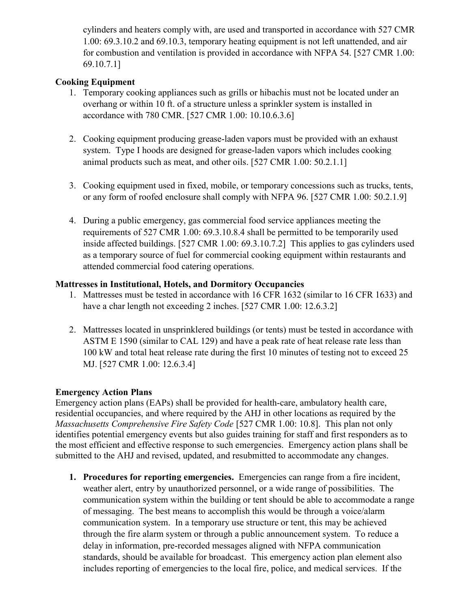cylinders and heaters comply with, are used and transported in accordance with 527 CMR 1.00: 69.3.10.2 and 69.10.3, temporary heating equipment is not left unattended, and air for combustion and ventilation is provided in accordance with NFPA 54. [527 CMR 1.00: 69.10.7.1]

# Cooking Equipment

- 1. Temporary cooking appliances such as grills or hibachis must not be located under an overhang or within 10 ft. of a structure unless a sprinkler system is installed in accordance with 780 CMR. [527 CMR 1.00: 10.10.6.3.6]
- 2. Cooking equipment producing grease-laden vapors must be provided with an exhaust system. Type I hoods are designed for grease-laden vapors which includes cooking animal products such as meat, and other oils. [527 CMR 1.00: 50.2.1.1]
- 3. Cooking equipment used in fixed, mobile, or temporary concessions such as trucks, tents, or any form of roofed enclosure shall comply with NFPA 96. [527 CMR 1.00: 50.2.1.9]
- 4. During a public emergency, gas commercial food service appliances meeting the requirements of 527 CMR 1.00: 69.3.10.8.4 shall be permitted to be temporarily used inside affected buildings. [527 CMR 1.00: 69.3.10.7.2] This applies to gas cylinders used as a temporary source of fuel for commercial cooking equipment within restaurants and attended commercial food catering operations.

# Mattresses in Institutional, Hotels, and Dormitory Occupancies

- 1. Mattresses must be tested in accordance with 16 CFR 1632 (similar to 16 CFR 1633) and have a char length not exceeding 2 inches. [527 CMR 1.00: 12.6.3.2]
- 2. Mattresses located in unsprinklered buildings (or tents) must be tested in accordance with ASTM E 1590 (similar to CAL 129) and have a peak rate of heat release rate less than 100 kW and total heat release rate during the first 10 minutes of testing not to exceed 25 MJ. [527 CMR 1.00: 12.6.3.4]

# Emergency Action Plans

Emergency action plans (EAPs) shall be provided for health-care, ambulatory health care, residential occupancies, and where required by the AHJ in other locations as required by the Massachusetts Comprehensive Fire Safety Code [527 CMR 1.00: 10.8]. This plan not only identifies potential emergency events but also guides training for staff and first responders as to the most efficient and effective response to such emergencies. Emergency action plans shall be submitted to the AHJ and revised, updated, and resubmitted to accommodate any changes.

1. Procedures for reporting emergencies. Emergencies can range from a fire incident, weather alert, entry by unauthorized personnel, or a wide range of possibilities. The communication system within the building or tent should be able to accommodate a range of messaging. The best means to accomplish this would be through a voice/alarm communication system. In a temporary use structure or tent, this may be achieved through the fire alarm system or through a public announcement system. To reduce a delay in information, pre-recorded messages aligned with NFPA communication standards, should be available for broadcast. This emergency action plan element also includes reporting of emergencies to the local fire, police, and medical services. If the